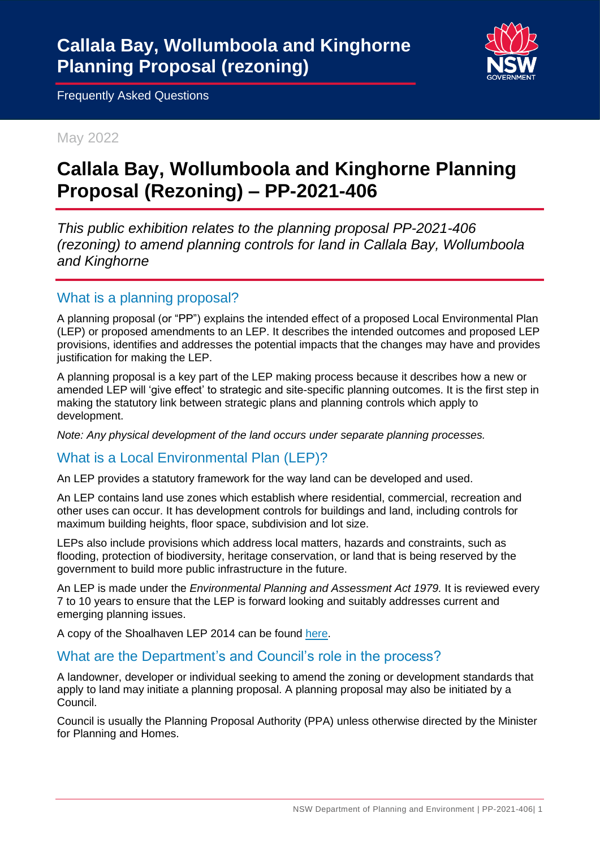

May 2022

# **Callala Bay, Wollumboola and Kinghorne Planning Proposal (Rezoning) – PP-2021-406**

*This public exhibition relates to the planning proposal PP-2021-406 (rezoning) to amend planning controls for land in Callala Bay, Wollumboola and Kinghorne* 

## What is a planning proposal?

A planning proposal (or "PP") explains the intended effect of a proposed Local Environmental Plan (LEP) or proposed amendments to an LEP. It describes the intended outcomes and proposed LEP provisions, identifies and addresses the potential impacts that the changes may have and provides justification for making the LEP.

A planning proposal is a key part of the LEP making process because it describes how a new or amended LEP will 'give effect' to strategic and site-specific planning outcomes. It is the first step in making the statutory link between strategic plans and planning controls which apply to development.

*Note: Any physical development of the land occurs under separate planning processes.*

## What is a Local Environmental Plan (LEP)?

An LEP provides a statutory framework for the way land can be developed and used.

An LEP contains land use zones which establish where residential, commercial, recreation and other uses can occur. It has development controls for buildings and land, including controls for maximum building heights, floor space, subdivision and lot size.

LEPs also include provisions which address local matters, hazards and constraints, such as flooding, protection of biodiversity, heritage conservation, or land that is being reserved by the government to build more public infrastructure in the future.

An LEP is made under the *Environmental Planning and Assessment Act 1979.* It is reviewed every 7 to 10 years to ensure that the LEP is forward looking and suitably addresses current and emerging planning issues.

A copy of the Shoalhaven LEP 2014 can be found [here.](https://legislation.nsw.gov.au/view/html/inforce/current/epi-2014-0179)

## What are the Department's and Council's role in the process?

A landowner, developer or individual seeking to amend the zoning or development standards that apply to land may initiate a planning proposal. A planning proposal may also be initiated by a Council.

Council is usually the Planning Proposal Authority (PPA) unless otherwise directed by the Minister for Planning and Homes.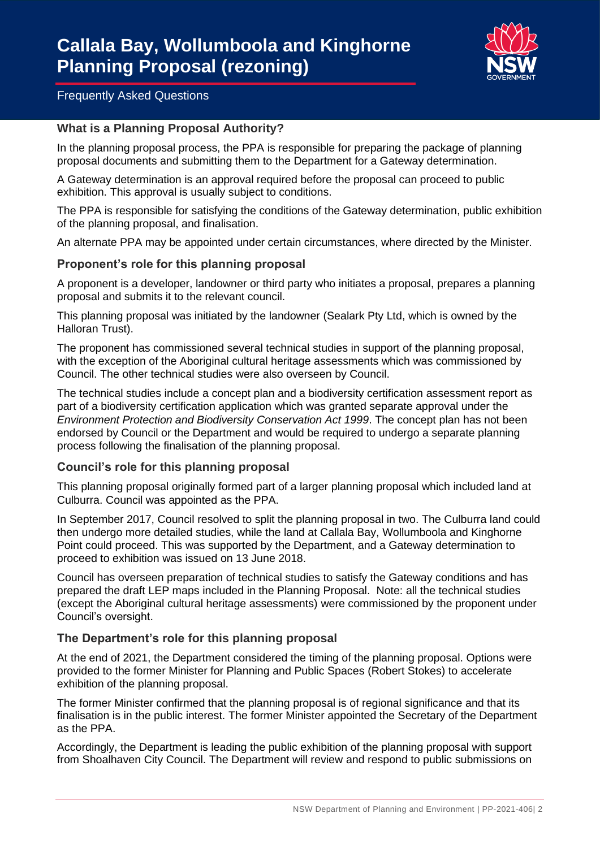

#### **What is a Planning Proposal Authority?**

In the planning proposal process, the PPA is responsible for preparing the package of planning proposal documents and submitting them to the Department for a Gateway determination.

A Gateway determination is an approval required before the proposal can proceed to public exhibition. This approval is usually subject to conditions.

The PPA is responsible for satisfying the conditions of the Gateway determination, public exhibition of the planning proposal, and finalisation.

An alternate PPA may be appointed under certain circumstances, where directed by the Minister.

#### **Proponent's role for this planning proposal**

A proponent is a developer, landowner or third party who initiates a proposal, prepares a planning proposal and submits it to the relevant council.

This planning proposal was initiated by the landowner (Sealark Pty Ltd, which is owned by the Halloran Trust).

The proponent has commissioned several technical studies in support of the planning proposal, with the exception of the Aboriginal cultural heritage assessments which was commissioned by Council. The other technical studies were also overseen by Council.

The technical studies include a concept plan and a biodiversity certification assessment report as part of a biodiversity certification application which was granted separate approval under the *Environment Protection and Biodiversity Conservation Act 1999*. The concept plan has not been endorsed by Council or the Department and would be required to undergo a separate planning process following the finalisation of the planning proposal.

#### **Council's role for this planning proposal**

This planning proposal originally formed part of a larger planning proposal which included land at Culburra. Council was appointed as the PPA.

In September 2017, Council resolved to split the planning proposal in two. The Culburra land could then undergo more detailed studies, while the land at Callala Bay, Wollumboola and Kinghorne Point could proceed. This was supported by the Department, and a Gateway determination to proceed to exhibition was issued on 13 June 2018.

Council has overseen preparation of technical studies to satisfy the Gateway conditions and has prepared the draft LEP maps included in the Planning Proposal. Note: all the technical studies (except the Aboriginal cultural heritage assessments) were commissioned by the proponent under Council's oversight.

#### **The Department's role for this planning proposal**

At the end of 2021, the Department considered the timing of the planning proposal. Options were provided to the former Minister for Planning and Public Spaces (Robert Stokes) to accelerate exhibition of the planning proposal.

The former Minister confirmed that the planning proposal is of regional significance and that its finalisation is in the public interest. The former Minister appointed the Secretary of the Department as the PPA.

Accordingly, the Department is leading the public exhibition of the planning proposal with support from Shoalhaven City Council. The Department will review and respond to public submissions on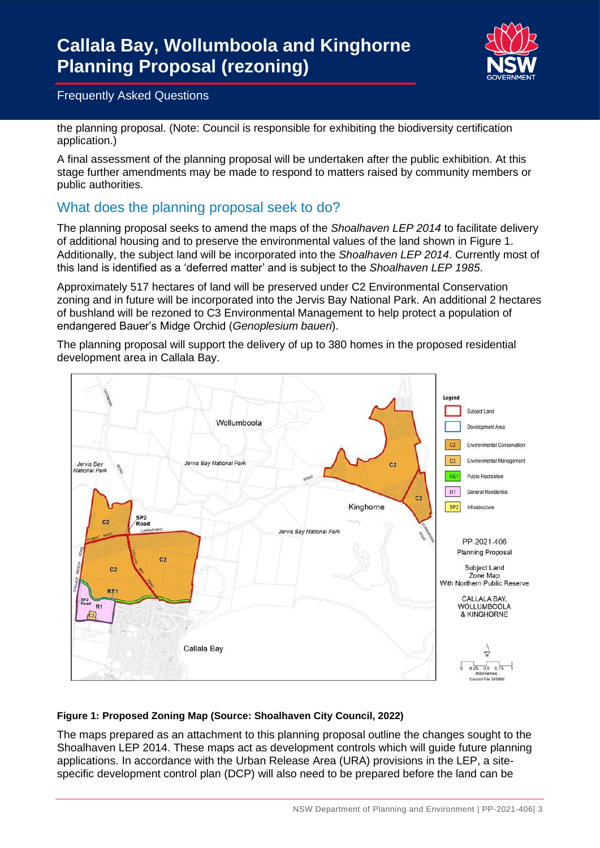

the planning proposal. (Note: Council is responsible for exhibiting the biodiversity certification application.)

A final assessment of the planning proposal will be undertaken after the public exhibition. At this stage further amendments may be made to respond to matters raised by community members or public authorities.

# What does the planning proposal seek to do?

The planning proposal seeks to amend the maps of the *Shoalhaven LEP 2014* to facilitate delivery of additional housing and to preserve the environmental values of the land shown in Figure 1. Additionally, the subject land will be incorporated into the *Shoalhaven LEP 2014*. Currently most of this land is identified as a 'deferred matter' and is subject to the *Shoalhaven LEP 1985*.

Approximately 517 hectares of land will be preserved under C2 Environmental Conservation zoning and in future will be incorporated into the Jervis Bay National Park. An additional 2 hectares of bushland will be rezoned to C3 Environmental Management to help protect a population of endangered Bauer's Midge Orchid (*Genoplesium baueri*).

The planning proposal will support the delivery of up to 380 homes in the proposed residential development area in Callala Bay.



#### **Figure 1: Proposed Zoning Map (Source: Shoalhaven City Council, 2022)**

The maps prepared as an attachment to this planning proposal outline the changes sought to the Shoalhaven LEP 2014. These maps act as development controls which will guide future planning applications. In accordance with the Urban Release Area (URA) provisions in the LEP, a sitespecific development control plan (DCP) will also need to be prepared before the land can be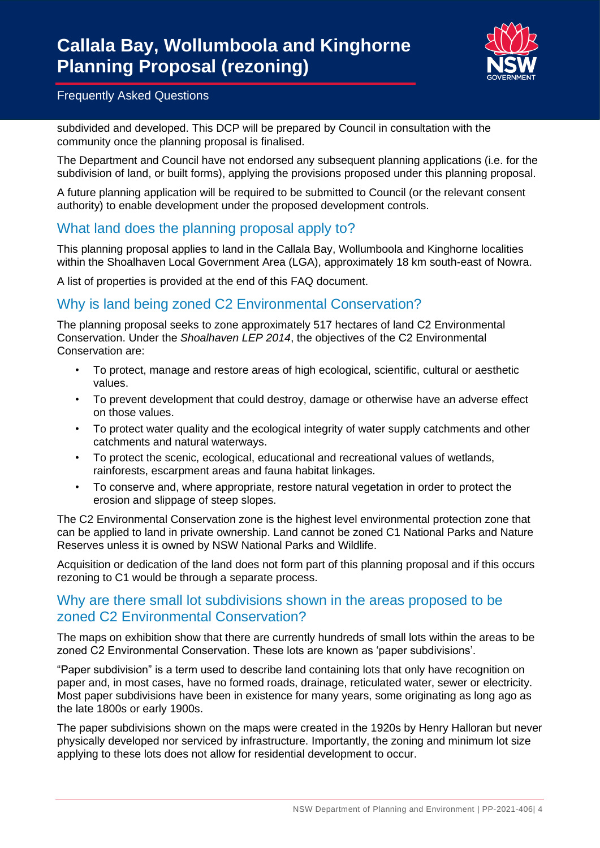

subdivided and developed. This DCP will be prepared by Council in consultation with the community once the planning proposal is finalised.

The Department and Council have not endorsed any subsequent planning applications (i.e. for the subdivision of land, or built forms), applying the provisions proposed under this planning proposal.

A future planning application will be required to be submitted to Council (or the relevant consent authority) to enable development under the proposed development controls.

## What land does the planning proposal apply to?

This planning proposal applies to land in the Callala Bay, Wollumboola and Kinghorne localities within the Shoalhaven Local Government Area (LGA), approximately 18 km south-east of Nowra.

A list of properties is provided at the end of this FAQ document.

## Why is land being zoned C2 Environmental Conservation?

The planning proposal seeks to zone approximately 517 hectares of land C2 Environmental Conservation. Under the *Shoalhaven LEP 2014*, the objectives of the C2 Environmental Conservation are:

- To protect, manage and restore areas of high ecological, scientific, cultural or aesthetic values.
- To prevent development that could destroy, damage or otherwise have an adverse effect on those values.
- To protect water quality and the ecological integrity of water supply catchments and other catchments and natural waterways.
- To protect the scenic, ecological, educational and recreational values of wetlands, rainforests, escarpment areas and fauna habitat linkages.
- To conserve and, where appropriate, restore natural vegetation in order to protect the erosion and slippage of steep slopes.

The C2 Environmental Conservation zone is the highest level environmental protection zone that can be applied to land in private ownership. Land cannot be zoned C1 National Parks and Nature Reserves unless it is owned by NSW National Parks and Wildlife.

Acquisition or dedication of the land does not form part of this planning proposal and if this occurs rezoning to C1 would be through a separate process.

## Why are there small lot subdivisions shown in the areas proposed to be zoned C2 Environmental Conservation?

The maps on exhibition show that there are currently hundreds of small lots within the areas to be zoned C2 Environmental Conservation. These lots are known as 'paper subdivisions'.

"Paper subdivision" is a term used to describe land containing lots that only have recognition on paper and, in most cases, have no formed roads, drainage, reticulated water, sewer or electricity. Most paper subdivisions have been in existence for many years, some originating as long ago as the late 1800s or early 1900s.

The paper subdivisions shown on the maps were created in the 1920s by Henry Halloran but never physically developed nor serviced by infrastructure. Importantly, the zoning and minimum lot size applying to these lots does not allow for residential development to occur.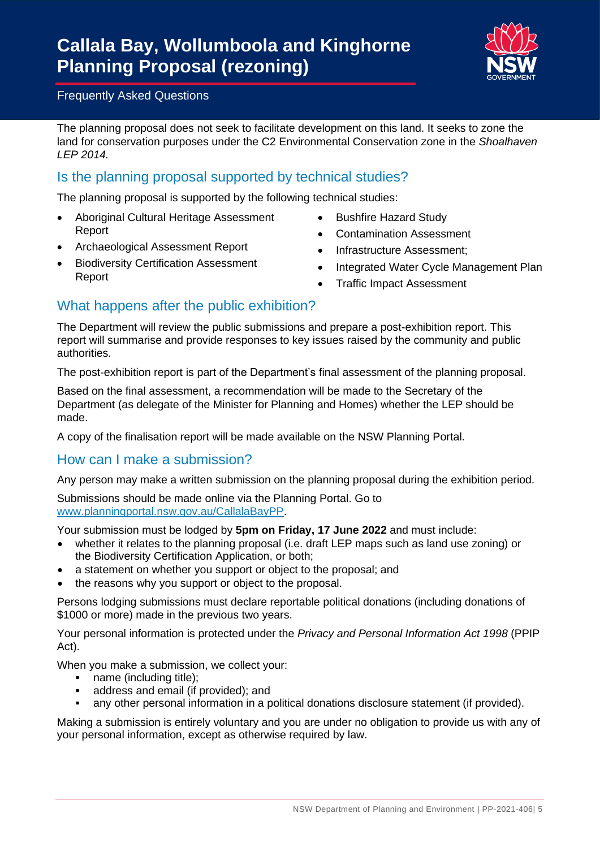

The planning proposal does not seek to facilitate development on this land. It seeks to zone the land for conservation purposes under the C2 Environmental Conservation zone in the *Shoalhaven LEP 2014.*

# Is the planning proposal supported by technical studies?

The planning proposal is supported by the following technical studies:

- Aboriginal Cultural Heritage Assessment Report
- Archaeological Assessment Report
- **Biodiversity Certification Assessment** Report
- Bushfire Hazard Study
- Contamination Assessment
- Infrastructure Assessment;
- Integrated Water Cycle Management Plan
- Traffic Impact Assessment

# What happens after the public exhibition?

The Department will review the public submissions and prepare a post-exhibition report. This report will summarise and provide responses to key issues raised by the community and public authorities.

The post-exhibition report is part of the Department's final assessment of the planning proposal.

Based on the final assessment, a recommendation will be made to the Secretary of the Department (as delegate of the Minister for Planning and Homes) whether the LEP should be made.

A copy of the finalisation report will be made available on the NSW Planning Portal.

### How can I make a submission?

Any person may make a written submission on the planning proposal during the exhibition period.

Submissions should be made online via the Planning Portal. Go to [www.planningportal.nsw.gov.au/CallalaBayPP.](http://www.planningportal.nsw.gov.au/CallalaBayPP)

Your submission must be lodged by **5pm on Friday, 17 June 2022** and must include:

- whether it relates to the planning proposal (i.e. draft LEP maps such as land use zoning) or the Biodiversity Certification Application, or both;
- a statement on whether you support or object to the proposal; and
- the reasons why you support or object to the proposal.

Persons lodging submissions must declare reportable political donations (including donations of \$1000 or more) made in the previous two years.

Your personal information is protected under the *Privacy and Personal Information Act 1998* (PPIP Act).

When you make a submission, we collect your:

- name (including title);
- address and email (if provided); and
- any other personal information in a political donations disclosure statement (if provided).

Making a submission is entirely voluntary and you are under no obligation to provide us with any of your personal information, except as otherwise required by law.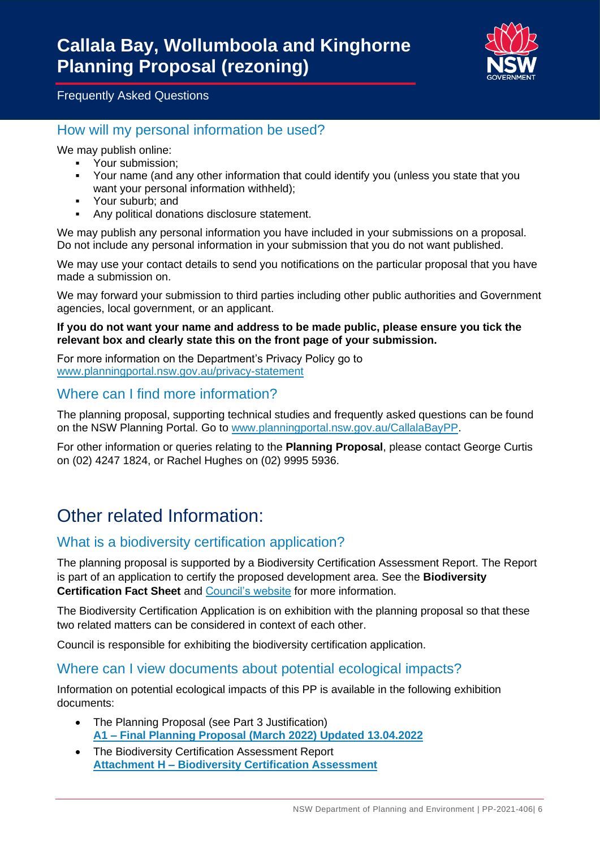

## How will my personal information be used?

We may publish online:

- Your submission;
- Your name (and any other information that could identify you (unless you state that you want your personal information withheld);
- Your suburb; and
- Any political donations disclosure statement.

We may publish any personal information you have included in your submissions on a proposal. Do not include any personal information in your submission that you do not want published.

We may use your contact details to send you notifications on the particular proposal that you have made a submission on.

We may forward your submission to third parties including other public authorities and Government agencies, local government, or an applicant.

#### **If you do not want your name and address to be made public, please ensure you tick the relevant box and clearly state this on the front page of your submission.**

For more information on the Department's Privacy Policy go to [www.planningportal.nsw.gov.au/privacy-statement](https://www.planningportal.nsw.gov.au/privacy-statement)

# Where can I find more information?

The planning proposal, supporting technical studies and frequently asked questions can be found on the NSW Planning Portal. Go to [www.planningportal.nsw.gov.au/CallalaBayPP.](http://www.planningportal.nsw.gov.au/CallalaBayPP)

For other information or queries relating to the **Planning Proposal**, please contact George Curtis on (02) 4247 1824, or Rachel Hughes on (02) 9995 5936.

# Other related Information:

## What is a biodiversity certification application?

The planning proposal is supported by a Biodiversity Certification Assessment Report. The Report is part of an application to certify the proposed development area. See the **Biodiversity Certification Fact Sheet** and [Council's website](https://www.shoalhaven.nsw.gov.au/Projects-Engagement/Major-Projects-Works/Planning-Proposal-Halloran-Trust-Lands-Callala-Bay-Wollumboola-and-Kinghorne) for more information.

The Biodiversity Certification Application is on exhibition with the planning proposal so that these two related matters can be considered in context of each other.

Council is responsible for exhibiting the biodiversity certification application.

### Where can I view documents about potential ecological impacts?

Information on potential ecological impacts of this PP is available in the following exhibition documents:

- The Planning Proposal (see Part 3 Justification) **A1 – [Final Planning Proposal \(March 2022\) Updated 13.04.2022](https://apps.planningportal.nsw.gov.au/prweb/PRRestService/DocMgmt/v1/PublicDocuments/DATA-WORKATTACH-FILE%20PEC-DPE-EP-WORK%20PP-2021-406!20220413T104041.433%20GMT)**
- The Biodiversity Certification Assessment Report **Attachment H – [Biodiversity Certification Assessment](https://apps.planningportal.nsw.gov.au/prweb/PRRestService/DocMgmt/v1/PublicDocuments/DATA-WORKATTACH-FILE%20PEC-DPE-EP-WORK%20PP-2021-406!20220411T034027.815%20GMT)**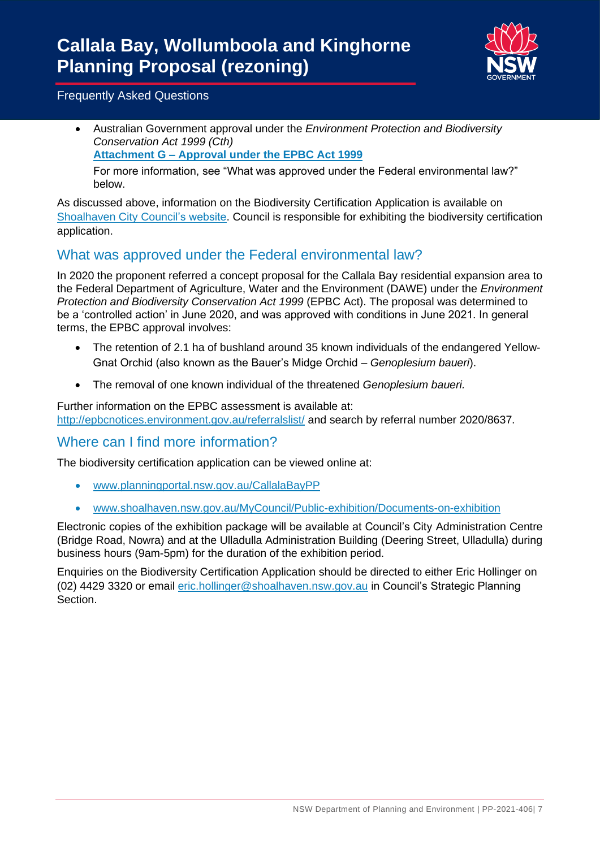

• Australian Government approval under the *Environment Protection and Biodiversity Conservation Act 1999 (Cth)*

#### **Attachment G – [Approval under the EPBC Act 1999](https://apps.planningportal.nsw.gov.au/prweb/PRRestService/DocMgmt/v1/PublicDocuments/DATA-WORKATTACH-FILE%20PEC-DPE-EP-WORK%20PP-2021-406!20220411T034027.815%20GMT)**

For more information, see "What was approved under the Federal environmental law?" below.

As discussed above, information on the Biodiversity Certification Application is available on [Shoalhaven City Council's website.](https://getinvolved.shoalhaven.nsw.gov.au/halloran-trust-callala-kinghorne-pt) Council is responsible for exhibiting the biodiversity certification application.

# What was approved under the Federal environmental law?

In 2020 the proponent referred a concept proposal for the Callala Bay residential expansion area to the Federal Department of Agriculture, Water and the Environment (DAWE) under the *Environment Protection and Biodiversity Conservation Act 1999* (EPBC Act). The proposal was determined to be a 'controlled action' in June 2020, and was approved with conditions in June 2021. In general terms, the EPBC approval involves:

- The retention of 2.1 ha of bushland around 35 known individuals of the endangered Yellow-Gnat Orchid (also known as the Bauer's Midge Orchid – *Genoplesium baueri*).
- The removal of one known individual of the threatened *Genoplesium baueri.*

Further information on the EPBC assessment is available at: <http://epbcnotices.environment.gov.au/referralslist/> and search by referral number 2020/8637.

## Where can I find more information?

The biodiversity certification application can be viewed online at:

- [www.planningportal.nsw.gov.au/CallalaBayPP](http://www.planningportal.nsw.gov.au/CallalaBayPP)
- [www.shoalhaven.nsw.gov.au/MyCouncil/Public-exhibition/Documents-on-exhibition](http://www.shoalhaven.nsw.gov.au/MyCouncil/Public-exhibition/Documents-on-exhibition)

Electronic copies of the exhibition package will be available at Council's City Administration Centre (Bridge Road, Nowra) and at the Ulladulla Administration Building (Deering Street, Ulladulla) during business hours (9am-5pm) for the duration of the exhibition period.

Enquiries on the Biodiversity Certification Application should be directed to either Eric Hollinger on (02) 4429 3320 or email [eric.hollinger@shoalhaven.nsw.gov.au](mailto:eric.hollinger@shoalhaven.nsw.gov.au) in Council's Strategic Planning Section.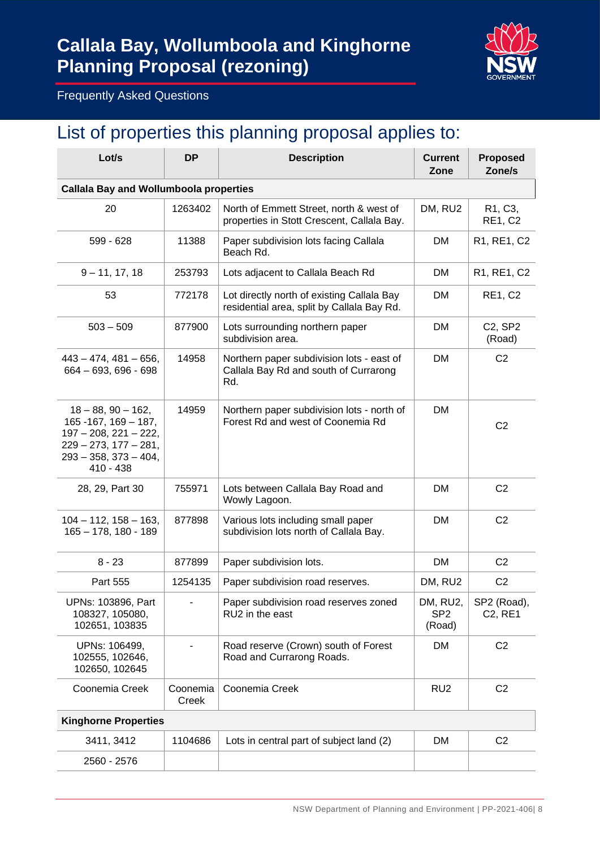# **Callala Bay, Wollumboola and Kinghorne Planning Proposal (rezoning)**



Frequently Asked Questions

# List of properties this planning proposal applies to:

| Lot/s                                                                                                                                                          | <b>DP</b>         | <b>Description</b>                                                                        | <b>Current</b><br>Zone                | <b>Proposed</b><br>Zone/s                           |  |  |  |
|----------------------------------------------------------------------------------------------------------------------------------------------------------------|-------------------|-------------------------------------------------------------------------------------------|---------------------------------------|-----------------------------------------------------|--|--|--|
| <b>Callala Bay and Wollumboola properties</b>                                                                                                                  |                   |                                                                                           |                                       |                                                     |  |  |  |
| 20                                                                                                                                                             | 1263402           | North of Emmett Street, north & west of<br>properties in Stott Crescent, Callala Bay.     | DM, RU2                               | R <sub>1</sub> , C <sub>3</sub> ,<br><b>RE1, C2</b> |  |  |  |
| 599 - 628                                                                                                                                                      | 11388             | Paper subdivision lots facing Callala<br>Beach Rd.                                        | DM                                    | R1, RE1, C2                                         |  |  |  |
| $9 - 11, 17, 18$                                                                                                                                               | 253793            | Lots adjacent to Callala Beach Rd                                                         | DM                                    | R1, RE1, C2                                         |  |  |  |
| 53                                                                                                                                                             | 772178            | Lot directly north of existing Callala Bay<br>residential area, split by Callala Bay Rd.  | DM                                    | <b>RE1, C2</b>                                      |  |  |  |
| $503 - 509$                                                                                                                                                    | 877900            | Lots surrounding northern paper<br>subdivision area.                                      | <b>DM</b>                             | C2, SP2<br>(Road)                                   |  |  |  |
| $443 - 474$ , $481 - 656$ ,<br>$664 - 693, 696 - 698$                                                                                                          | 14958             | Northern paper subdivision lots - east of<br>Callala Bay Rd and south of Currarong<br>Rd. | <b>DM</b>                             | C <sub>2</sub>                                      |  |  |  |
| $18 - 88$ , $90 - 162$ ,<br>$165 - 167$ , $169 - 187$ ,<br>$197 - 208$ , 221 - 222,<br>$229 - 273$ , $177 - 281$ ,<br>$293 - 358$ , $373 - 404$ ,<br>410 - 438 | 14959             | Northern paper subdivision lots - north of<br>Forest Rd and west of Coonemia Rd           | DM                                    | C <sub>2</sub>                                      |  |  |  |
| 28, 29, Part 30                                                                                                                                                | 755971            | Lots between Callala Bay Road and<br>Wowly Lagoon.                                        | <b>DM</b>                             | C <sub>2</sub>                                      |  |  |  |
| $104 - 112$ , $158 - 163$ ,<br>$165 - 178$ , 180 - 189                                                                                                         | 877898            | Various lots including small paper<br>subdivision lots north of Callala Bay.              | <b>DM</b>                             | C <sub>2</sub>                                      |  |  |  |
| $8 - 23$                                                                                                                                                       | 877899            | Paper subdivision lots.                                                                   | DM                                    | C <sub>2</sub>                                      |  |  |  |
| Part 555                                                                                                                                                       | 1254135           | Paper subdivision road reserves.                                                          | DM, RU2                               | C <sub>2</sub>                                      |  |  |  |
| UPNs: 103896, Part<br>108327, 105080,<br>102651, 103835                                                                                                        |                   | Paper subdivision road reserves zoned<br>RU2 in the east                                  | DM, RU2,<br>SP <sub>2</sub><br>(Road) | SP2 (Road),<br>C2, RE1                              |  |  |  |
| UPNs: 106499,<br>102555, 102646,<br>102650, 102645                                                                                                             |                   | Road reserve (Crown) south of Forest<br>Road and Currarong Roads.                         | <b>DM</b>                             | C <sub>2</sub>                                      |  |  |  |
| Coonemia Creek                                                                                                                                                 | Coonemia<br>Creek | Coonemia Creek                                                                            | RU <sub>2</sub>                       | C <sub>2</sub>                                      |  |  |  |
| <b>Kinghorne Properties</b>                                                                                                                                    |                   |                                                                                           |                                       |                                                     |  |  |  |
| 3411, 3412                                                                                                                                                     | 1104686           | Lots in central part of subject land (2)                                                  | DM                                    | C <sub>2</sub>                                      |  |  |  |
| 2560 - 2576                                                                                                                                                    |                   |                                                                                           |                                       |                                                     |  |  |  |